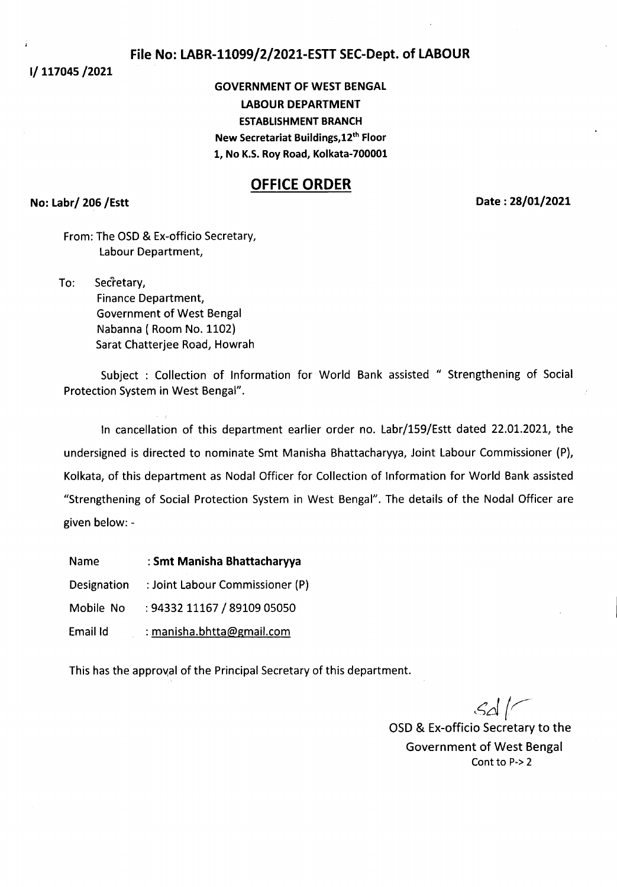### File No: LABR-ll099/2/2021-ESTT SEC-Dept. of LABOUR

1/117045/2021

# GOVERNMENT OF WEST BENGAL LABOUR DEPARTMENT ESTABLISHMENT BRANCH New Secretariat Buildings, 12<sup>th</sup> Floor 1, No K.S. Roy Road, Kolkata-700001

# OFFICE ORDER

No: Labr/ 206 /Estt Date: 28/01/2021

From: The OSD & Ex-officio Secretary, Labour Department,

To: Secretary, Finance Department, Government of West Bengal Nabanna( Room No. 1102) Sarat Chatterjee Road, Howrah

Subject : Collection of Information for World Bank assisted " Strengthening of Social Protection System in West Bengal".

In cancellation of this department earlier order no. Labr/159/Estt dated 22.01.2021, the undersigned is directed to nominate Smt Manisha Bhattacharyya, Joint Labour Commissioner (P), Kolkata, of this department as Nodal Officer for Collection of Information for World Bank assisted "Strengthening of Social Protection System in West Bengal". The details of the Nodal Officer are given below: -

Name : Smt Manisha Bhattacharyya Designation : Joint Labour Commissioner(P) Mobile No : 94332 11167 / 89109 05050 Emailld : manisha.bhtta@gmail.com

This has the approval of the Principal Secretary of this department.

 $ad$   $\Gamma$ 

OSD & Ex-officio Secretary to the Government of West Bengal Cont to P-> 2